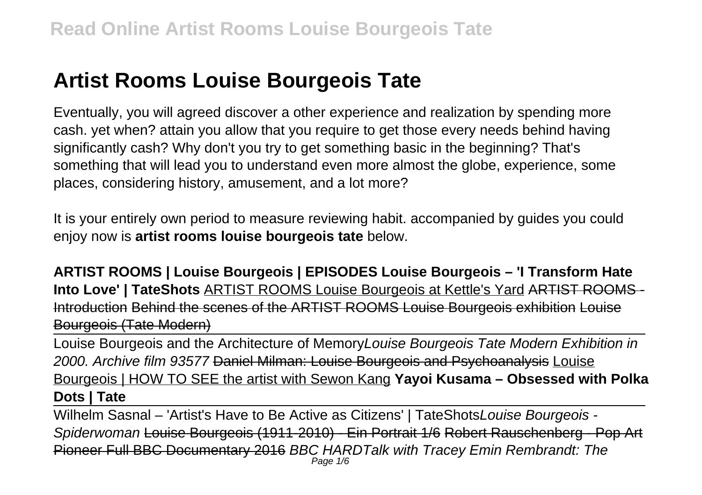# **Artist Rooms Louise Bourgeois Tate**

Eventually, you will agreed discover a other experience and realization by spending more cash. yet when? attain you allow that you require to get those every needs behind having significantly cash? Why don't you try to get something basic in the beginning? That's something that will lead you to understand even more almost the globe, experience, some places, considering history, amusement, and a lot more?

It is your entirely own period to measure reviewing habit. accompanied by guides you could enjoy now is **artist rooms louise bourgeois tate** below.

**ARTIST ROOMS | Louise Bourgeois | EPISODES Louise Bourgeois – 'I Transform Hate Into Love' | TateShots** ARTIST ROOMS Louise Bourgeois at Kettle's Yard ARTIST ROOMS - Introduction Behind the scenes of the ARTIST ROOMS Louise Bourgeois exhibition Louise Bourgeois (Tate Modern)

Louise Bourgeois and the Architecture of MemoryLouise Bourgeois Tate Modern Exhibition in 2000. Archive film 93577 Daniel Milman: Louise Bourgeois and Psychoanalysis Louise Bourgeois | HOW TO SEE the artist with Sewon Kang **Yayoi Kusama – Obsessed with Polka Dots | Tate**

Wilhelm Sasnal – 'Artist's Have to Be Active as Citizens' | TateShotsLouise Bourgeois -Spiderwoman Louise Bourgeois (1911-2010) - Ein Portrait 1/6 Robert Rauschenberg - Pop Art Pioneer Full BBC Documentary 2016 BBC HARDTalk with Tracey Emin Rembrandt: The Page 1/6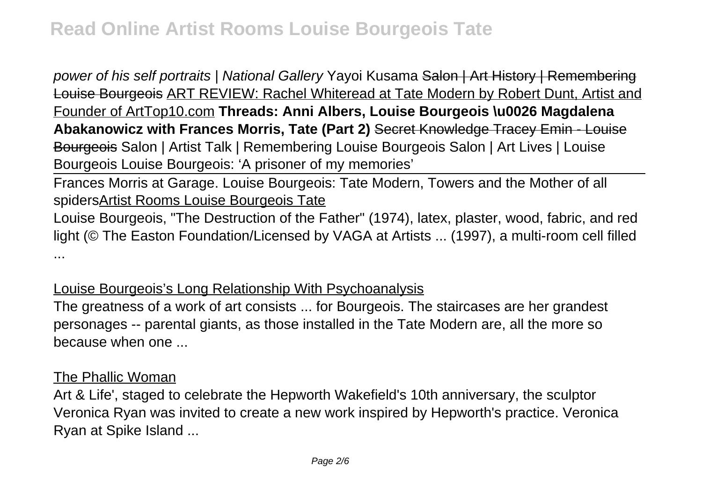power of his self portraits | National Gallery Yayoi Kusama Salon | Art History | Remembering Louise Bourgeois ART REVIEW: Rachel Whiteread at Tate Modern by Robert Dunt, Artist and Founder of ArtTop10.com **Threads: Anni Albers, Louise Bourgeois \u0026 Magdalena Abakanowicz with Frances Morris, Tate (Part 2)** Secret Knowledge Tracey Emin - Louise Bourgeois Salon | Artist Talk | Remembering Louise Bourgeois Salon | Art Lives | Louise Bourgeois Louise Bourgeois: 'A prisoner of my memories'

Frances Morris at Garage. Louise Bourgeois: Tate Modern, Towers and the Mother of all spidersArtist Rooms Louise Bourgeois Tate

Louise Bourgeois, "The Destruction of the Father" (1974), latex, plaster, wood, fabric, and red light (© The Easton Foundation/Licensed by VAGA at Artists ... (1997), a multi-room cell filled ...

#### Louise Bourgeois's Long Relationship With Psychoanalysis

The greatness of a work of art consists ... for Bourgeois. The staircases are her grandest personages -- parental giants, as those installed in the Tate Modern are, all the more so because when one ...

#### The Phallic Woman

Art & Life', staged to celebrate the Hepworth Wakefield's 10th anniversary, the sculptor Veronica Ryan was invited to create a new work inspired by Hepworth's practice. Veronica Ryan at Spike Island ...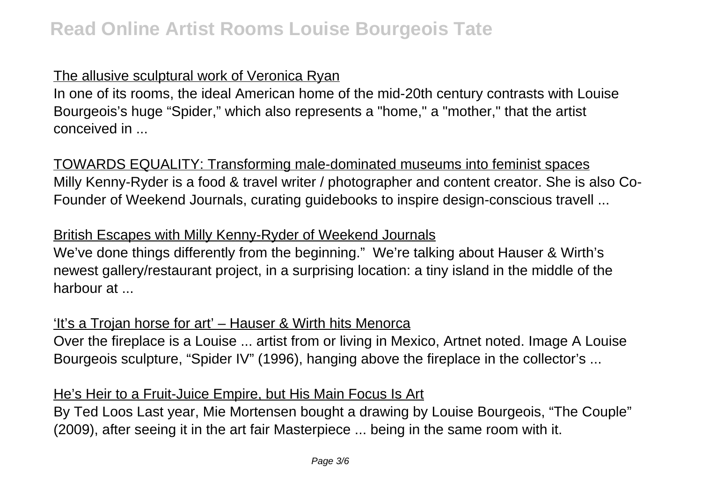## The allusive sculptural work of Veronica Ryan

In one of its rooms, the ideal American home of the mid-20th century contrasts with Louise Bourgeois's huge "Spider," which also represents a "home," a "mother," that the artist conceived in ...

TOWARDS EQUALITY: Transforming male-dominated museums into feminist spaces Milly Kenny-Ryder is a food & travel writer / photographer and content creator. She is also Co-Founder of Weekend Journals, curating guidebooks to inspire design-conscious travell ...

## British Escapes with Milly Kenny-Ryder of Weekend Journals

We've done things differently from the beginning." We're talking about Hauser & Wirth's newest gallery/restaurant project, in a surprising location: a tiny island in the middle of the harbour at ...

#### 'It's a Trojan horse for art' – Hauser & Wirth hits Menorca

Over the fireplace is a Louise ... artist from or living in Mexico, Artnet noted. Image A Louise Bourgeois sculpture, "Spider IV" (1996), hanging above the fireplace in the collector's ...

### He's Heir to a Fruit-Juice Empire, but His Main Focus Is Art

By Ted Loos Last year, Mie Mortensen bought a drawing by Louise Bourgeois, "The Couple" (2009), after seeing it in the art fair Masterpiece ... being in the same room with it.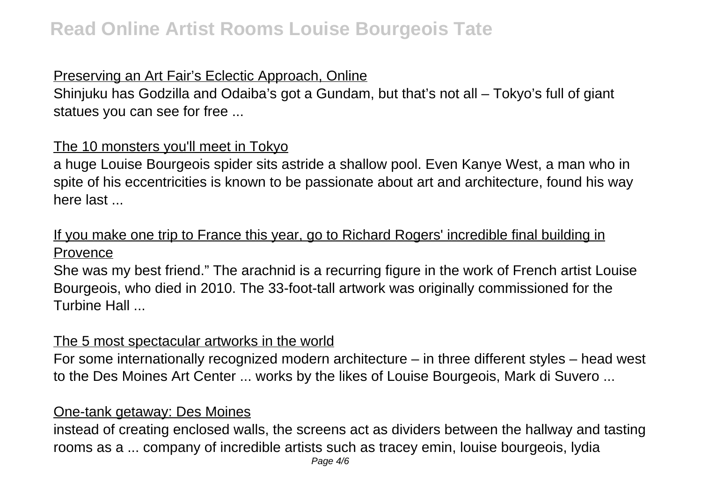### Preserving an Art Fair's Eclectic Approach, Online

Shinjuku has Godzilla and Odaiba's got a Gundam, but that's not all – Tokyo's full of giant statues you can see for free ...

### The 10 monsters you'll meet in Tokyo

a huge Louise Bourgeois spider sits astride a shallow pool. Even Kanye West, a man who in spite of his eccentricities is known to be passionate about art and architecture, found his way here last ...

## If you make one trip to France this year, go to Richard Rogers' incredible final building in Provence

She was my best friend." The arachnid is a recurring figure in the work of French artist Louise Bourgeois, who died in 2010. The 33-foot-tall artwork was originally commissioned for the Turbine Hall ...

#### The 5 most spectacular artworks in the world

For some internationally recognized modern architecture – in three different styles – head west to the Des Moines Art Center ... works by the likes of Louise Bourgeois, Mark di Suvero ...

#### One-tank getaway: Des Moines

instead of creating enclosed walls, the screens act as dividers between the hallway and tasting rooms as a ... company of incredible artists such as tracey emin, louise bourgeois, lydia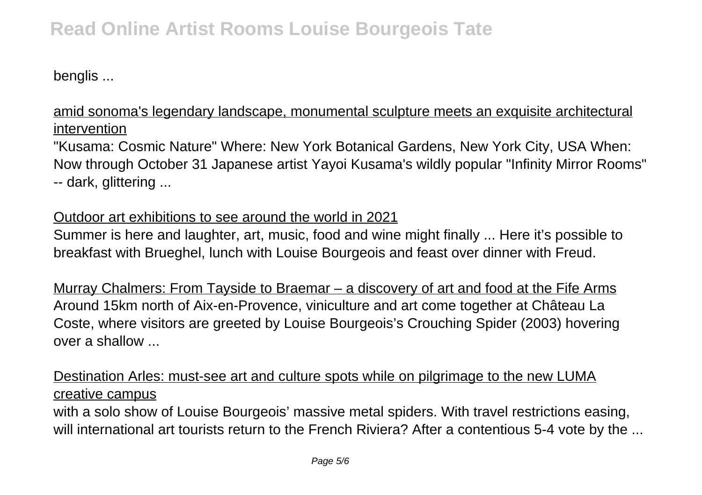## **Read Online Artist Rooms Louise Bourgeois Tate**

benglis ...

amid sonoma's legendary landscape, monumental sculpture meets an exquisite architectural intervention

"Kusama: Cosmic Nature" Where: New York Botanical Gardens, New York City, USA When: Now through October 31 Japanese artist Yayoi Kusama's wildly popular "Infinity Mirror Rooms" -- dark, glittering ...

#### Outdoor art exhibitions to see around the world in 2021

Summer is here and laughter, art, music, food and wine might finally ... Here it's possible to breakfast with Brueghel, lunch with Louise Bourgeois and feast over dinner with Freud.

Murray Chalmers: From Tayside to Braemar – a discovery of art and food at the Fife Arms Around 15km north of Aix-en-Provence, viniculture and art come together at Château La Coste, where visitors are greeted by Louise Bourgeois's Crouching Spider (2003) hovering over a shallow ...

Destination Arles: must-see art and culture spots while on pilgrimage to the new LUMA creative campus

with a solo show of Louise Bourgeois' massive metal spiders. With travel restrictions easing, will international art tourists return to the French Riviera? After a contentious 5-4 vote by the ...